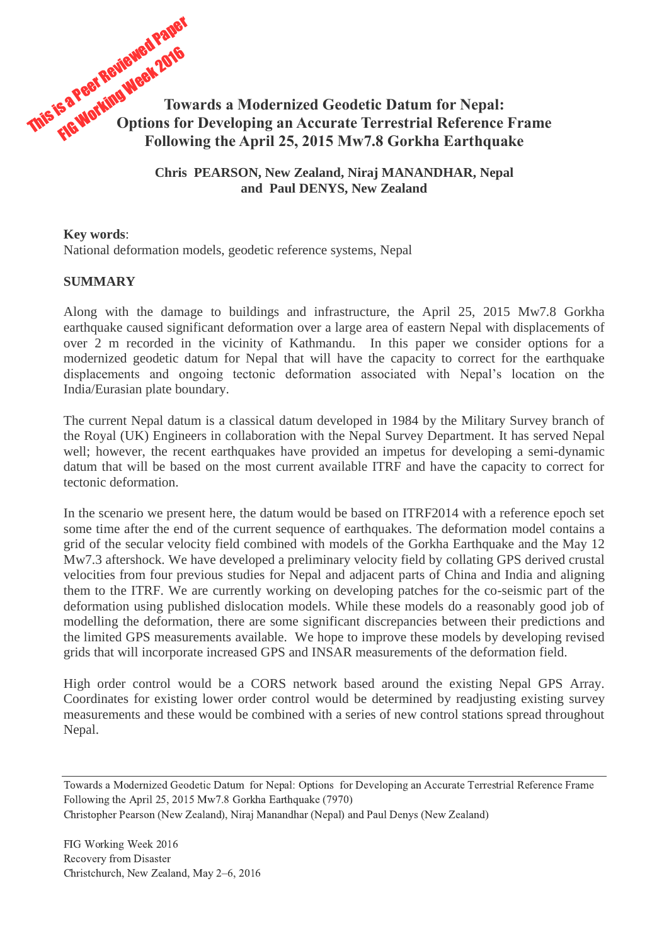

**Chris PEARSON, New Zealand, Niraj MANANDHAR, Nepal and Paul DENYS, New Zealand**

**Key words**: National deformation models, geodetic reference systems, Nepal

## **SUMMARY**

Along with the damage to buildings and infrastructure, the April 25, 2015 Mw7.8 Gorkha earthquake caused significant deformation over a large area of eastern Nepal with displacements of over 2 m recorded in the vicinity of Kathmandu. In this paper we consider options for a modernized geodetic datum for Nepal that will have the capacity to correct for the earthquake displacements and ongoing tectonic deformation associated with Nepal's location on the India/Eurasian plate boundary.

The current Nepal datum is a classical datum developed in 1984 by the Military Survey branch of the Royal (UK) Engineers in collaboration with the Nepal Survey Department. It has served Nepal well; however, the recent earthquakes have provided an impetus for developing a semi-dynamic datum that will be based on the most current available ITRF and have the capacity to correct for tectonic deformation.

In the scenario we present here, the datum would be based on ITRF2014 with a reference epoch set some time after the end of the current sequence of earthquakes. The deformation model contains a grid of the secular velocity field combined with models of the Gorkha Earthquake and the May 12 Mw7.3 aftershock. We have developed a preliminary velocity field by collating GPS derived crustal velocities from four previous studies for Nepal and adjacent parts of China and India and aligning them to the ITRF. We are currently working on developing patches for the co-seismic part of the deformation using published dislocation models. While these models do a reasonably good job of modelling the deformation, there are some significant discrepancies between their predictions and the limited GPS measurements available. We hope to improve these models by developing revised grids that will incorporate increased GPS and INSAR measurements of the deformation field.

High order control would be a CORS network based around the existing Nepal GPS Array. Coordinates for existing lower order control would be determined by readjusting existing survey measurements and these would be combined with a series of new control stations spread throughout Nepal.

Towards a Modernized Geodetic Datum for Nepal: Options for Developing an Accurate Terrestrial Reference Frame Following the April 25, 2015 Mw7.8 Gorkha Earthquake (7970)

Christopher Pearson (New Zealand), Niraj Manandhar (Nepal) and Paul Denys (New Zealand)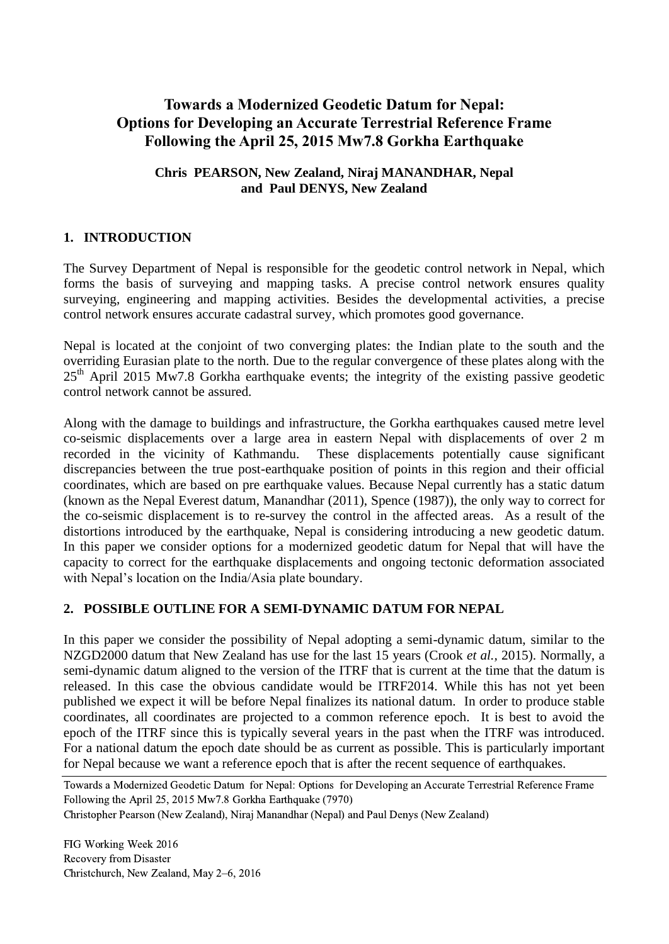# **Towards a Modernized Geodetic Datum for Nepal: Options for Developing an Accurate Terrestrial Reference Frame Following the April 25, 2015 Mw7.8 Gorkha Earthquake**

# **Chris PEARSON, New Zealand, Niraj MANANDHAR, Nepal and Paul DENYS, New Zealand**

# **1. INTRODUCTION**

The Survey Department of Nepal is responsible for the geodetic control network in Nepal, which forms the basis of surveying and mapping tasks. A precise control network ensures quality surveying, engineering and mapping activities. Besides the developmental activities, a precise control network ensures accurate cadastral survey, which promotes good governance.

Nepal is located at the conjoint of two converging plates: the Indian plate to the south and the overriding Eurasian plate to the north. Due to the regular convergence of these plates along with the  $25<sup>th</sup>$  April 2015 Mw7.8 Gorkha earthquake events; the integrity of the existing passive geodetic control network cannot be assured.

Along with the damage to buildings and infrastructure, the Gorkha earthquakes caused metre level co-seismic displacements over a large area in eastern Nepal with displacements of over 2 m recorded in the vicinity of Kathmandu. These displacements potentially cause significant discrepancies between the true post-earthquake position of points in this region and their official coordinates, which are based on pre earthquake values. Because Nepal currently has a static datum (known as the Nepal Everest datum, Manandhar (2011), Spence (1987)), the only way to correct for the co-seismic displacement is to re-survey the control in the affected areas. As a result of the distortions introduced by the earthquake, Nepal is considering introducing a new geodetic datum. In this paper we consider options for a modernized geodetic datum for Nepal that will have the capacity to correct for the earthquake displacements and ongoing tectonic deformation associated with Nepal's location on the India/Asia plate boundary.

# **2. POSSIBLE OUTLINE FOR A SEMI-DYNAMIC DATUM FOR NEPAL**

In this paper we consider the possibility of Nepal adopting a semi-dynamic datum, similar to the NZGD2000 datum that New Zealand has use for the last 15 years (Crook *et al.,* 2015). Normally, a semi-dynamic datum aligned to the version of the ITRF that is current at the time that the datum is released. In this case the obvious candidate would be ITRF2014. While this has not yet been published we expect it will be before Nepal finalizes its national datum. In order to produce stable coordinates, all coordinates are projected to a common reference epoch. It is best to avoid the epoch of the ITRF since this is typically several years in the past when the ITRF was introduced. For a national datum the epoch date should be as current as possible. This is particularly important for Nepal because we want a reference epoch that is after the recent sequence of earthquakes.

Towards a Modernized Geodetic Datum for Nepal: Options for Developing an Accurate Terrestrial Reference Frame Following the April 25, 2015 Mw7.8 Gorkha Earthquake (7970)

Christopher Pearson (New Zealand), Niraj Manandhar (Nepal) and Paul Denys (New Zealand)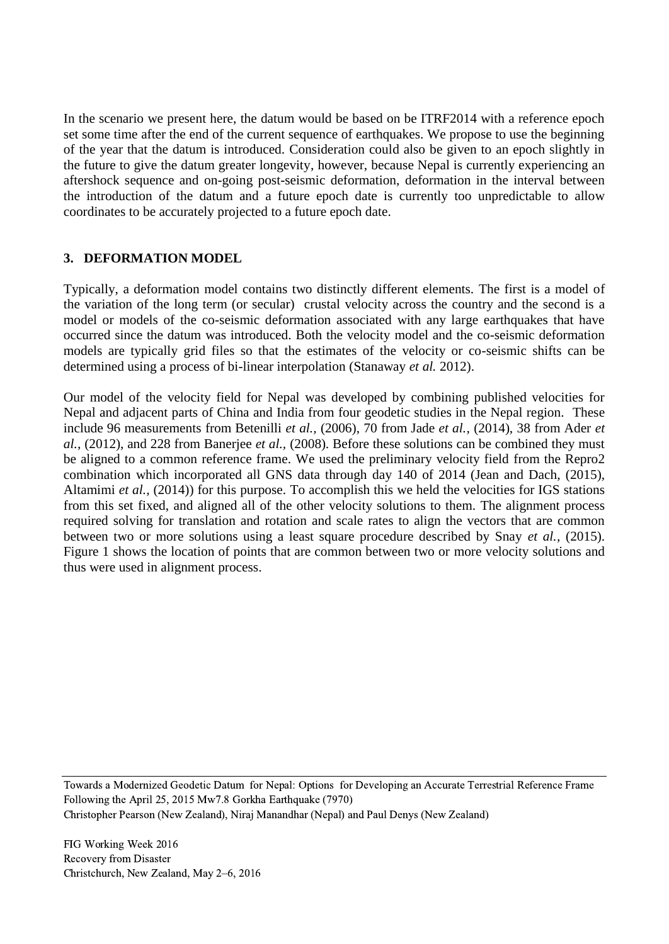In the scenario we present here, the datum would be based on be ITRF2014 with a reference epoch set some time after the end of the current sequence of earthquakes. We propose to use the beginning of the year that the datum is introduced. Consideration could also be given to an epoch slightly in the future to give the datum greater longevity, however, because Nepal is currently experiencing an aftershock sequence and on-going post-seismic deformation, deformation in the interval between the introduction of the datum and a future epoch date is currently too unpredictable to allow coordinates to be accurately projected to a future epoch date.

# **3. DEFORMATION MODEL**

Typically, a deformation model contains two distinctly different elements. The first is a model of the variation of the long term (or secular) crustal velocity across the country and the second is a model or models of the co-seismic deformation associated with any large earthquakes that have occurred since the datum was introduced. Both the velocity model and the co-seismic deformation models are typically grid files so that the estimates of the velocity or co-seismic shifts can be determined using a process of bi-linear interpolation (Stanaway *et al.* 2012).

Our model of the velocity field for Nepal was developed by combining published velocities for Nepal and adjacent parts of China and India from four geodetic studies in the Nepal region. These include 96 measurements from Betenilli *et al.,* (2006), 70 from Jade *et al.,* (2014), 38 from Ader *et al.,* (2012), and 228 from Banerjee *et al.,* (2008). Before these solutions can be combined they must be aligned to a common reference frame. We used the preliminary velocity field from the Repro2 combination which incorporated all GNS data through day 140 of 2014 (Jean and Dach, (2015), Altamimi *et al.,* (2014)) for this purpose. To accomplish this we held the velocities for IGS stations from this set fixed, and aligned all of the other velocity solutions to them. The alignment process required solving for translation and rotation and scale rates to align the vectors that are common between two or more solutions using a least square procedure described by Snay *et al.,* (2015). Figure 1 shows the location of points that are common between two or more velocity solutions and thus were used in alignment process.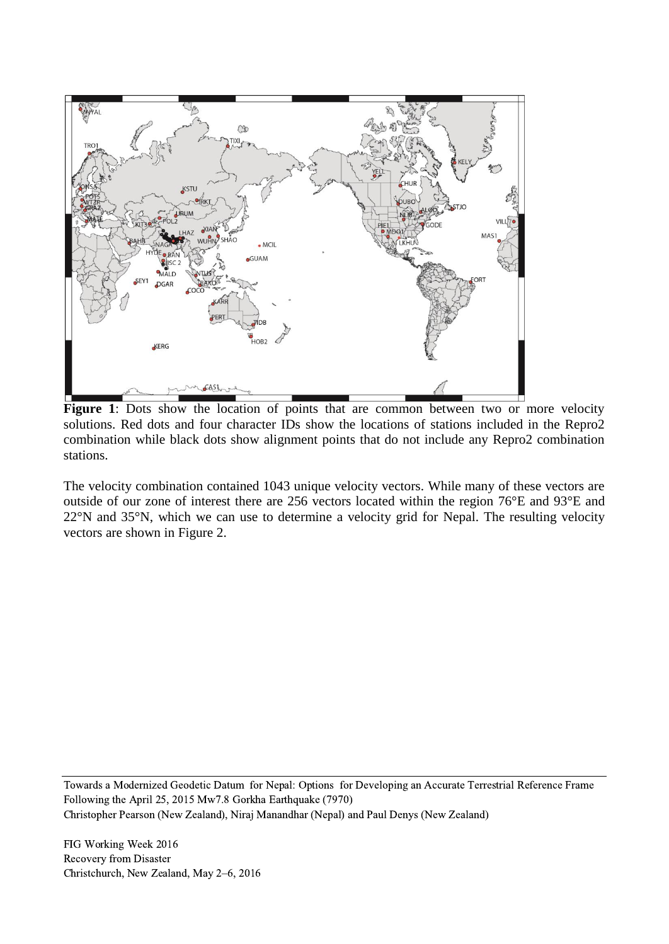

Figure 1: Dots show the location of points that are common between two or more velocity solutions. Red dots and four character IDs show the locations of stations included in the Repro2 combination while black dots show alignment points that do not include any Repro2 combination stations.

The velocity combination contained 1043 unique velocity vectors. While many of these vectors are outside of our zone of interest there are 256 vectors located within the region 76°E and 93°E and 22°N and 35°N, which we can use to determine a velocity grid for Nepal. The resulting velocity vectors are shown in Figure 2.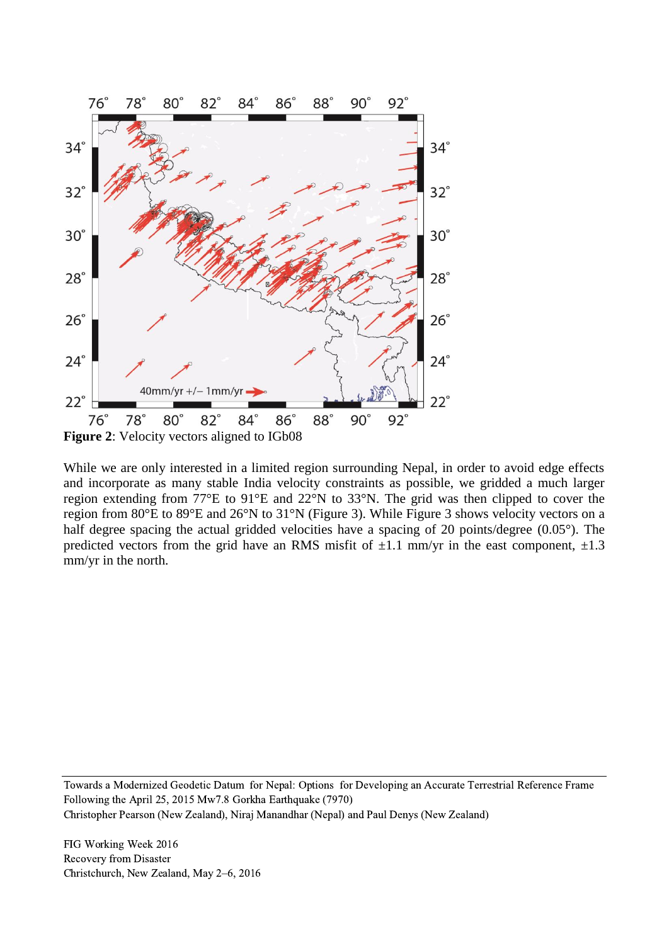

While we are only interested in a limited region surrounding Nepal, in order to avoid edge effects and incorporate as many stable India velocity constraints as possible, we gridded a much larger region extending from 77°E to 91°E and 22°N to 33°N. The grid was then clipped to cover the region from 80°E to 89°E and 26°N to 31°N (Figure 3). While Figure 3 shows velocity vectors on a half degree spacing the actual gridded velocities have a spacing of 20 points/degree (0.05°). The predicted vectors from the grid have an RMS misfit of  $\pm 1.1$  mm/yr in the east component,  $\pm 1.3$ mm/yr in the north.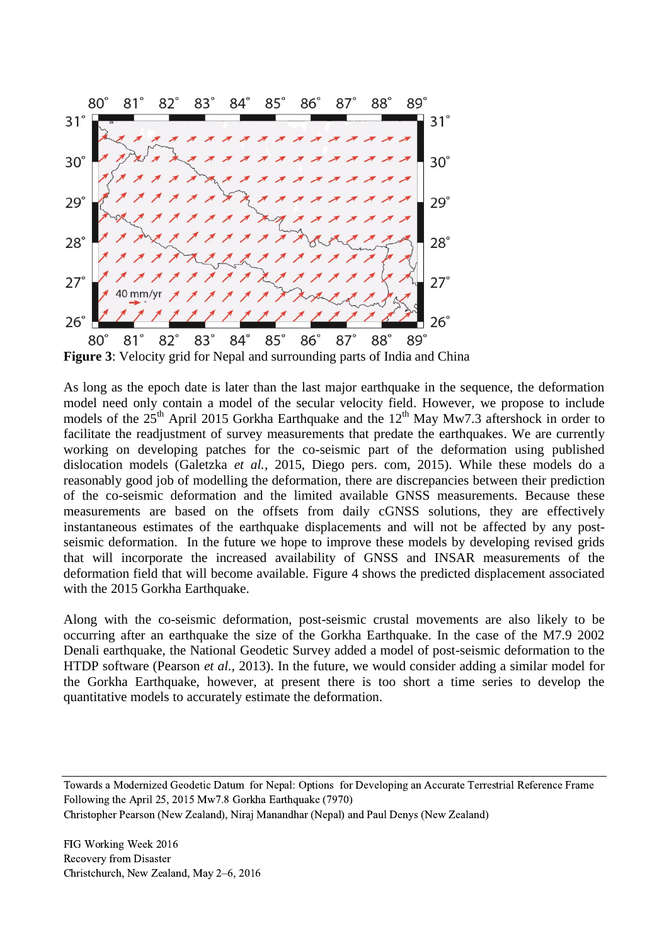

**Figure 3**: Velocity grid for Nepal and surrounding parts of India and China

As long as the epoch date is later than the last major earthquake in the sequence, the deformation model need only contain a model of the secular velocity field. However, we propose to include models of the  $25<sup>th</sup>$  April 2015 Gorkha Earthquake and the  $12<sup>th</sup>$  May Mw7.3 aftershock in order to facilitate the readjustment of survey measurements that predate the earthquakes. We are currently working on developing patches for the co-seismic part of the deformation using published dislocation models (Galetzka *et al.,* 2015, Diego pers. com, 2015). While these models do a reasonably good job of modelling the deformation, there are discrepancies between their prediction of the co-seismic deformation and the limited available GNSS measurements. Because these measurements are based on the offsets from daily cGNSS solutions, they are effectively instantaneous estimates of the earthquake displacements and will not be affected by any postseismic deformation. In the future we hope to improve these models by developing revised grids that will incorporate the increased availability of GNSS and INSAR measurements of the deformation field that will become available. Figure 4 shows the predicted displacement associated with the 2015 Gorkha Earthquake.

Along with the co-seismic deformation, post-seismic crustal movements are also likely to be occurring after an earthquake the size of the Gorkha Earthquake. In the case of the M7.9 2002 Denali earthquake, the National Geodetic Survey added a model of post-seismic deformation to the HTDP software (Pearson *et al.,* 2013). In the future, we would consider adding a similar model for the Gorkha Earthquake, however, at present there is too short a time series to develop the quantitative models to accurately estimate the deformation.

Towards a Modernized Geodetic Datum for Nepal: Options for Developing an Accurate Terrestrial Reference Frame Following the April 25, 2015 Mw7.8 Gorkha Earthquake (7970)

Christopher Pearson (New Zealand), Niraj Manandhar (Nepal) and Paul Denys (New Zealand)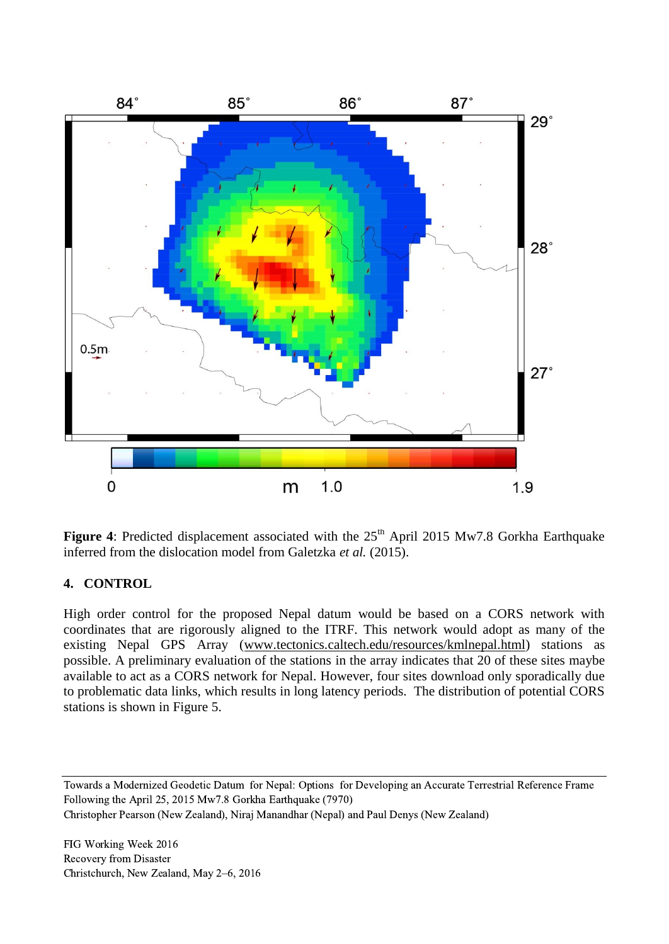

Figure 4: Predicted displacement associated with the 25<sup>th</sup> April 2015 Mw7.8 Gorkha Earthquake inferred from the dislocation model from Galetzka *et al.* (2015).

# **4. CONTROL**

High order control for the proposed Nepal datum would be based on a CORS network with coordinates that are rigorously aligned to the ITRF. This network would adopt as many of the existing Nepal GPS Array [\(www.tectonics.caltech.edu/resources/kmlnepal.html\)](http://www.tectonics.caltech.edu/resources/kmlnepal.html) stations as possible. A preliminary evaluation of the stations in the array indicates that 20 of these sites maybe available to act as a CORS network for Nepal. However, four sites download only sporadically due to problematic data links, which results in long latency periods. The distribution of potential CORS stations is shown in Figure 5.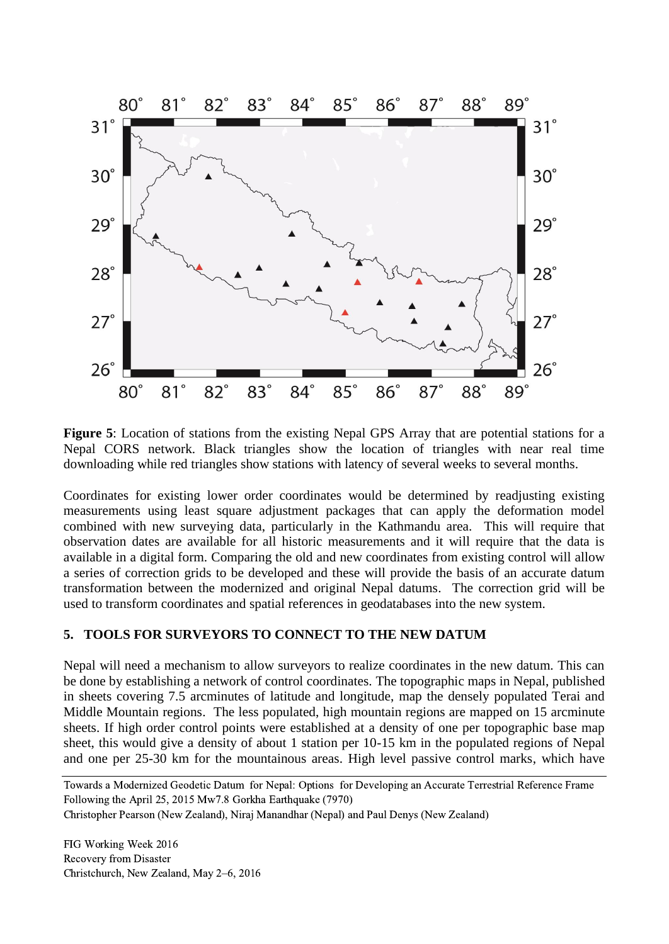

**Figure 5**: Location of stations from the existing Nepal GPS Array that are potential stations for a Nepal CORS network. Black triangles show the location of triangles with near real time downloading while red triangles show stations with latency of several weeks to several months.

Coordinates for existing lower order coordinates would be determined by readjusting existing measurements using least square adjustment packages that can apply the deformation model combined with new surveying data, particularly in the Kathmandu area. This will require that observation dates are available for all historic measurements and it will require that the data is available in a digital form. Comparing the old and new coordinates from existing control will allow a series of correction grids to be developed and these will provide the basis of an accurate datum transformation between the modernized and original Nepal datums. The correction grid will be used to transform coordinates and spatial references in geodatabases into the new system.

#### **5. TOOLS FOR SURVEYORS TO CONNECT TO THE NEW DATUM**

Nepal will need a mechanism to allow surveyors to realize coordinates in the new datum. This can be done by establishing a network of control coordinates. The topographic maps in Nepal, published in sheets covering 7.5 arcminutes of latitude and longitude, map the densely populated Terai and Middle Mountain regions. The less populated, high mountain regions are mapped on 15 arcminute sheets. If high order control points were established at a density of one per topographic base map sheet, this would give a density of about 1 station per 10-15 km in the populated regions of Nepal and one per 25-30 km for the mountainous areas. High level passive control marks, which have

Towards a Modernized Geodetic Datum for Nepal: Options for Developing an Accurate Terrestrial Reference Frame Following the April 25, 2015 Mw7.8 Gorkha Earthquake (7970)

Christopher Pearson (New Zealand), Niraj Manandhar (Nepal) and Paul Denys (New Zealand)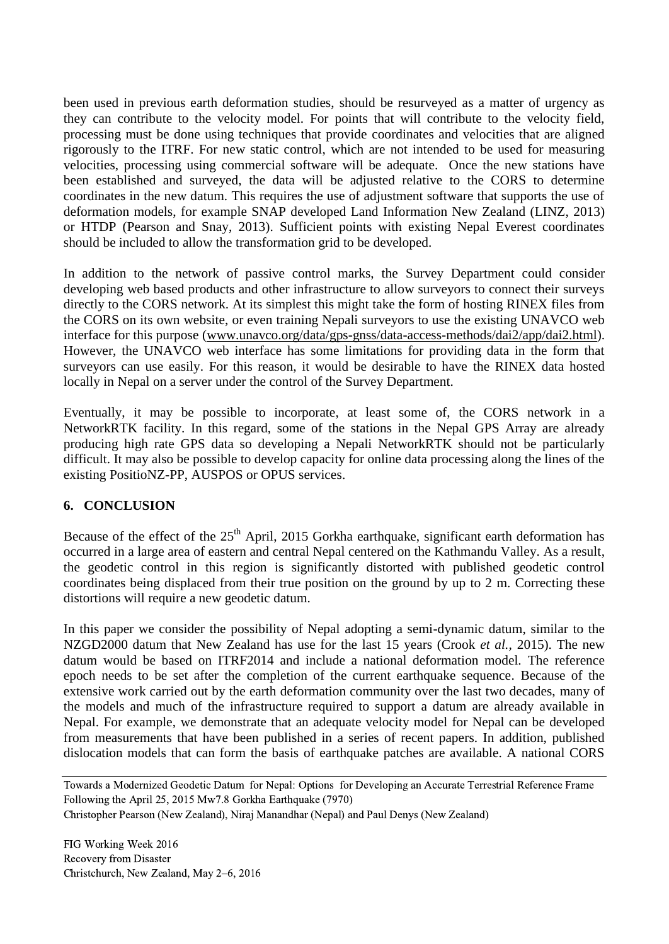been used in previous earth deformation studies, should be resurveyed as a matter of urgency as they can contribute to the velocity model. For points that will contribute to the velocity field, processing must be done using techniques that provide coordinates and velocities that are aligned rigorously to the ITRF. For new static control, which are not intended to be used for measuring velocities, processing using commercial software will be adequate. Once the new stations have been established and surveyed, the data will be adjusted relative to the CORS to determine coordinates in the new datum. This requires the use of adjustment software that supports the use of deformation models, for example SNAP developed Land Information New Zealand (LINZ, 2013) or HTDP (Pearson and Snay, 2013). Sufficient points with existing Nepal Everest coordinates should be included to allow the transformation grid to be developed.

In addition to the network of passive control marks, the Survey Department could consider developing web based products and other infrastructure to allow surveyors to connect their surveys directly to the CORS network. At its simplest this might take the form of hosting RINEX files from the CORS on its own website, or even training Nepali surveyors to use the existing UNAVCO web interface for this purpose [\(www.unavco.org/data/gps-gnss/data-access-methods/dai2/app/dai2.html\)](http://www.unavco.org/data/gps-gnss/data-access-methods/dai2/app/dai2.html). However, the UNAVCO web interface has some limitations for providing data in the form that surveyors can use easily. For this reason, it would be desirable to have the RINEX data hosted locally in Nepal on a server under the control of the Survey Department.

Eventually, it may be possible to incorporate, at least some of, the CORS network in a NetworkRTK facility. In this regard, some of the stations in the Nepal GPS Array are already producing high rate GPS data so developing a Nepali NetworkRTK should not be particularly difficult. It may also be possible to develop capacity for online data processing along the lines of the existing PositioNZ-PP, AUSPOS or OPUS services.

# **6. CONCLUSION**

Because of the effect of the  $25<sup>th</sup>$  April, 2015 Gorkha earthquake, significant earth deformation has occurred in a large area of eastern and central Nepal centered on the Kathmandu Valley. As a result, the geodetic control in this region is significantly distorted with published geodetic control coordinates being displaced from their true position on the ground by up to 2 m. Correcting these distortions will require a new geodetic datum.

In this paper we consider the possibility of Nepal adopting a semi-dynamic datum, similar to the NZGD2000 datum that New Zealand has use for the last 15 years (Crook *et al.,* 2015). The new datum would be based on ITRF2014 and include a national deformation model. The reference epoch needs to be set after the completion of the current earthquake sequence. Because of the extensive work carried out by the earth deformation community over the last two decades, many of the models and much of the infrastructure required to support a datum are already available in Nepal. For example, we demonstrate that an adequate velocity model for Nepal can be developed from measurements that have been published in a series of recent papers. In addition, published dislocation models that can form the basis of earthquake patches are available. A national CORS

Towards a Modernized Geodetic Datum for Nepal: Options for Developing an Accurate Terrestrial Reference Frame Following the April 25, 2015 Mw7.8 Gorkha Earthquake (7970)

Christopher Pearson (New Zealand), Niraj Manandhar (Nepal) and Paul Denys (New Zealand)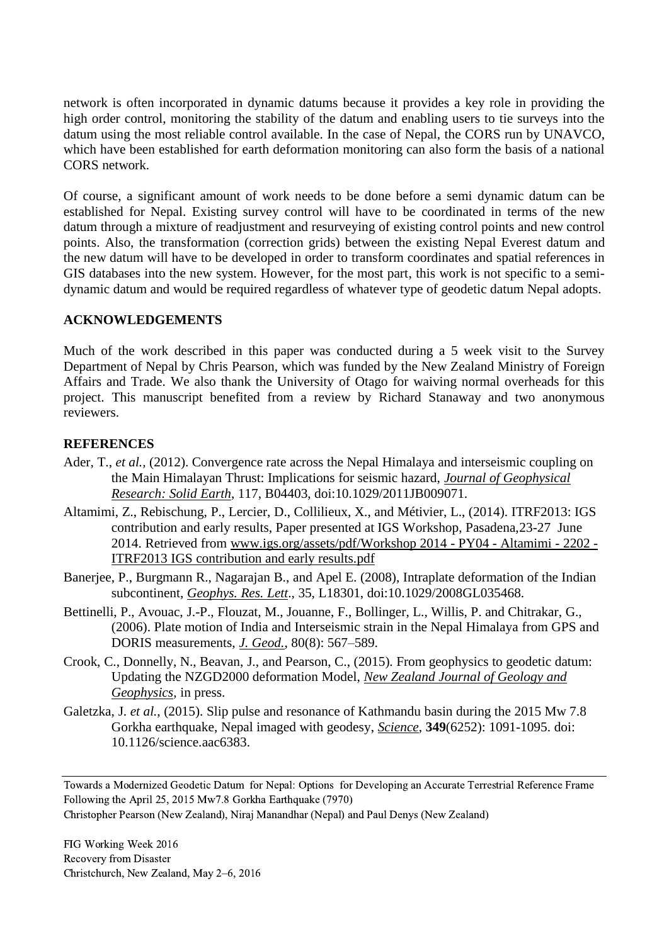network is often incorporated in dynamic datums because it provides a key role in providing the high order control, monitoring the stability of the datum and enabling users to tie surveys into the datum using the most reliable control available. In the case of Nepal, the CORS run by UNAVCO, which have been established for earth deformation monitoring can also form the basis of a national CORS network.

Of course, a significant amount of work needs to be done before a semi dynamic datum can be established for Nepal. Existing survey control will have to be coordinated in terms of the new datum through a mixture of readjustment and resurveying of existing control points and new control points. Also, the transformation (correction grids) between the existing Nepal Everest datum and the new datum will have to be developed in order to transform coordinates and spatial references in GIS databases into the new system. However, for the most part, this work is not specific to a semidynamic datum and would be required regardless of whatever type of geodetic datum Nepal adopts.

## **ACKNOWLEDGEMENTS**

Much of the work described in this paper was conducted during a 5 week visit to the Survey Department of Nepal by Chris Pearson, which was funded by the New Zealand Ministry of Foreign Affairs and Trade. We also thank the University of Otago for waiving normal overheads for this project. This manuscript benefited from a review by Richard Stanaway and two anonymous reviewers.

## **REFERENCES**

- Ader, T., *et al.,* (2012). Convergence rate across the Nepal Himalaya and interseismic coupling on the Main Himalayan Thrust: Implications for seismic hazard, *Journal of Geophysical Research: Solid Earth*, 117, B04403, doi:10.1029/2011JB009071.
- Altamimi, Z., Rebischung, P., Lercier, D., Collilieux, X., and Métivier, L., (2014). ITRF2013: IGS contribution and early results, Paper presented at IGS Workshop, Pasadena,23-27 June 2014. Retrieved from [www.igs.org/assets/pdf/Workshop 2014 -](http://www.igs.org/assets/pdf/Workshop%202014%20-%20PY04%20-%20Altamimi%20-%202202%20-%20ITRF2013%20IGS%20contribution%20and%20early%20results.pdf) PY04 - Altamimi - 2202 - [ITRF2013 IGS contribution and early results.pdf](http://www.igs.org/assets/pdf/Workshop%202014%20-%20PY04%20-%20Altamimi%20-%202202%20-%20ITRF2013%20IGS%20contribution%20and%20early%20results.pdf)
- Banerjee, P., Burgmann R., Nagarajan B., and Apel E. (2008), Intraplate deformation of the Indian subcontinent, *Geophys. Res. Lett*., 35, L18301, doi:10.1029/2008GL035468.
- Bettinelli, P., Avouac, J.-P., Flouzat, M., Jouanne, F., Bollinger, L., Willis, P. and Chitrakar, G., (2006). Plate motion of India and Interseismic strain in the Nepal Himalaya from GPS and DORIS measurements, *J. Geod.*, 80(8): 567–589.
- Crook, C., Donnelly, N., Beavan, J., and Pearson, C., (2015). From geophysics to geodetic datum: Updating the NZGD2000 deformation Model, *New Zealand Journal of Geology and Geophysics*, in press.
- Galetzka, J. *et al.*, (2015). Slip pulse and resonance of Kathmandu basin during the 2015 Mw 7.8 Gorkha earthquake, Nepal imaged with geodesy, *Science*, **349**(6252): 1091-1095. doi: 10.1126/science.aac6383.

Towards a Modernized Geodetic Datum for Nepal: Options for Developing an Accurate Terrestrial Reference Frame Following the April 25, 2015 Mw7.8 Gorkha Earthquake (7970)

Christopher Pearson (New Zealand), Niraj Manandhar (Nepal) and Paul Denys (New Zealand)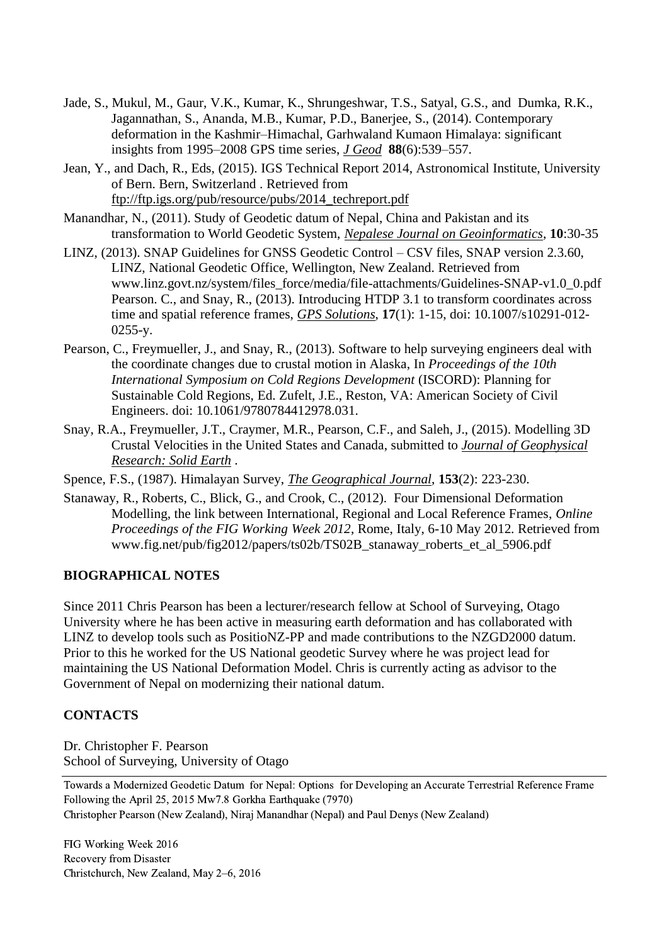- Jade, S., Mukul, M., Gaur, V.K., Kumar, K., Shrungeshwar, T.S., Satyal, G.S., and Dumka, R.K., Jagannathan, S., Ananda, M.B., Kumar, P.D., Banerjee, S., (2014). Contemporary deformation in the Kashmir–Himachal, Garhwaland Kumaon Himalaya: significant insights from 1995–2008 GPS time series, *J Geod* **88**(6):539–557.
- Jean, Y., and Dach, R., Eds, (2015). IGS Technical Report 2014, Astronomical Institute, University of Bern. Bern, Switzerland . Retrieved from [ftp://ftp.igs.org/pub/resource/pubs/2014\\_techreport.pdf](ftp://ftp.igs.org/pub/resource/pubs/2014_techreport.pdf)
- Manandhar, N., (2011). Study of Geodetic datum of Nepal, China and Pakistan and its transformation to World Geodetic System, *Nepalese Journal on Geoinformatics*, **10**:30-35
- LINZ, (2013). SNAP Guidelines for GNSS Geodetic Control CSV files, SNAP version 2.3.60, LINZ, National Geodetic Office, Wellington, New Zealand. Retrieved from www.linz.govt.nz/system/files\_force/media/file-attachments/Guidelines-SNAP-v1.0\_0.pdf Pearson. C., and Snay, R., (2013). Introducing HTDP 3.1 to transform coordinates across time and spatial reference frames, *GPS Solutions*, **17**(1): 1-15, doi: 10.1007/s10291-012- 0255-y.
- Pearson, C., Freymueller, J., and Snay, R., (2013). Software to help surveying engineers deal with the coordinate changes due to crustal motion in Alaska, In *Proceedings of the 10th International Symposium on Cold Regions Development* (ISCORD): Planning for Sustainable Cold Regions, Ed. Zufelt, J.E., Reston, VA: American Society of Civil Engineers. doi: 10.1061/9780784412978.031.
- Snay, R.A., Freymueller, J.T., Craymer, M.R., Pearson, C.F., and Saleh, J., (2015). Modelling 3D Crustal Velocities in the United States and Canada, submitted to *Journal of Geophysical Research: Solid Earth* .

Spence, F.S., (1987). Himalayan Survey, *The Geographical Journal*, **153**(2): 223-230.

Stanaway, R., Roberts, C., Blick, G., and Crook, C., (2012). Four Dimensional Deformation Modelling, the link between International, Regional and Local Reference Frames, *Online Proceedings of the FIG Working Week 2012*, Rome, Italy, 6-10 May 2012. Retrieved from www.fig.net/pub/fig2012/papers/ts02b/TS02B\_stanaway\_roberts\_et\_al\_5906.pdf

# **BIOGRAPHICAL NOTES**

Since 2011 Chris Pearson has been a lecturer/research fellow at School of Surveying, Otago University where he has been active in measuring earth deformation and has collaborated with LINZ to develop tools such as PositioNZ-PP and made contributions to the NZGD2000 datum. Prior to this he worked for the US National geodetic Survey where he was project lead for maintaining the US National Deformation Model. Chris is currently acting as advisor to the Government of Nepal on modernizing their national datum.

# **CONTACTS**

Dr. Christopher F. Pearson School of Surveying, University of Otago

Towards a Modernized Geodetic Datum for Nepal: Options for Developing an Accurate Terrestrial Reference Frame Following the April 25, 2015 Mw7.8 Gorkha Earthquake (7970) Christopher Pearson (New Zealand), Niraj Manandhar (Nepal) and Paul Denys (New Zealand)